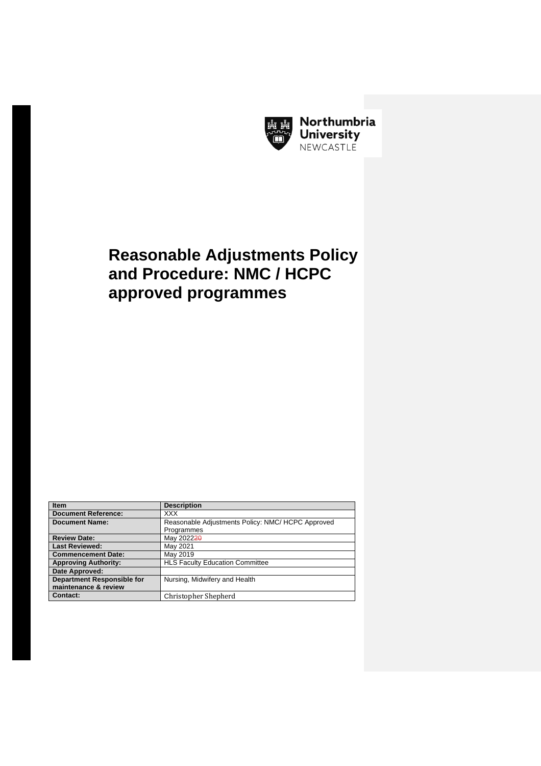

Northumbria **University** NEWCASTLE

# **Reasonable Adjustments Policy and Procedure: NMC / HCPC approved programmes**

| <b>Item</b>                       | <b>Description</b>                                |
|-----------------------------------|---------------------------------------------------|
| <b>Document Reference:</b>        | <b>XXX</b>                                        |
| <b>Document Name:</b>             | Reasonable Adjustments Policy: NMC/ HCPC Approved |
|                                   | Programmes                                        |
| <b>Review Date:</b>               | May 202220                                        |
| <b>Last Reviewed:</b>             | May 2021                                          |
| <b>Commencement Date:</b>         | May 2019                                          |
| <b>Approving Authority:</b>       | <b>HLS Faculty Education Committee</b>            |
| Date Approved:                    |                                                   |
| <b>Department Responsible for</b> | Nursing, Midwifery and Health                     |
| maintenance & review              |                                                   |
| <b>Contact:</b>                   | Christopher Shepherd                              |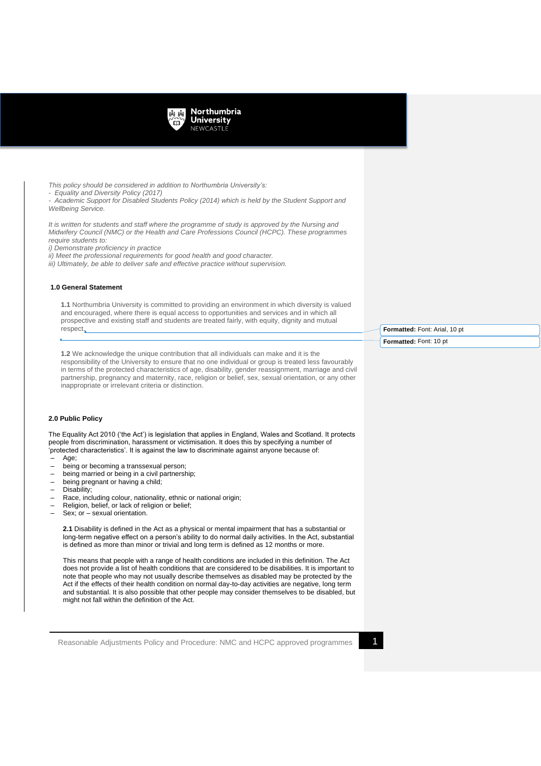

*This policy should be considered in addition to Northumbria University's: - Equality and Diversity Policy (2017) - Academic Support for Disabled Students Policy (2014) which is held by the Student Support and Wellbeing Service. It is written for students and staff where the programme of study is approved by the Nursing and* 

*Midwifery Council (NMC) or the Health and Care Professions Council (HCPC). These programmes require students to:*

*i) Demonstrate proficiency in practice*

*ii) Meet the professional requirements for good health and good character.*

*iii) Ultimately, be able to deliver safe and effective practice without supervision.*

## **1.0 General Statement**

**1.1** Northumbria University is committed to providing an environment in which diversity is valued and encouraged, where there is equal access to opportunities and services and in which all prospective and existing staff and students are treated fairly, with equity, dignity and mutual respect.

**1.2** We acknowledge the unique contribution that all individuals can make and it is the responsibility of the University to ensure that no one individual or group is treated less favourably in terms of the protected characteristics of age, disability, gender reassignment, marriage and civil partnership, pregnancy and maternity, race, religion or belief, sex, sexual orientation, or any other inappropriate or irrelevant criteria or distinction.

## **2.0 Public Policy**

The Equality Act 2010 ('the Act') is legislation that applies in England, Wales and Scotland. It protects people from discrimination, harassment or victimisation. It does this by specifying a number of 'protected characteristics'. It is against the law to discriminate against anyone because of:

- Age;
- being or becoming a transsexual person;<br>– being married or being in a civil partnersh
- being married or being in a civil partnership;
- being pregnant or having a child;
- Disability;
- Race, including colour, nationality, ethnic or national origin;
- Religion, belief, or lack of religion or belief;
- Sex; or sexual orientation.

**2.1** Disability is defined in the Act as a physical or mental impairment that has a substantial or long-term negative effect on a person's ability to do normal daily activities. In the Act, substantial is defined as more than minor or trivial and long term is defined as 12 months or more.

This means that people with a range of health conditions are included in this definition. The Act does not provide a list of health conditions that are considered to be disabilities. It is important to note that people who may not usually describe themselves as disabled may be protected by the Act if the effects of their health condition on normal day-to-day activities are negative, long term and substantial. It is also possible that other people may consider themselves to be disabled, but might not fall within the definition of the Act.

Reasonable Adjustments Policy and Procedure: NMC and HCPC approved programmes 1

**Formatted:** Font: Arial, 10 pt **Formatted:** Font: 10 pt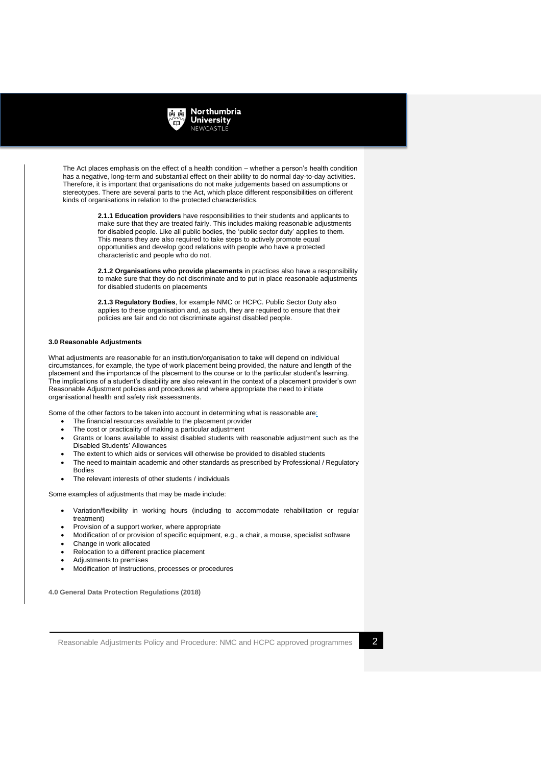

The Act places emphasis on the effect of a health condition – whether a person's health condition has a negative, long-term and substantial effect on their ability to do normal day-to-day activities. Therefore, it is important that organisations do not make judgements based on assumptions or stereotypes. There are several parts to the Act, which place different responsibilities on different kinds of organisations in relation to the protected characteristics.

> **2.1.1 Education providers** have responsibilities to their students and applicants to make sure that they are treated fairly. This includes making reasonable adjustments for disabled people. Like all public bodies, the 'public sector duty' applies to them. This means they are also required to take steps to actively promote equal opportunities and develop good relations with people who have a protected characteristic and people who do not.

**2.1.2 Organisations who provide placements** in practices also have a responsibility to make sure that they do not discriminate and to put in place reasonable adjustments for disabled students on placements

**2.1.3 Regulatory Bodies**, for example NMC or HCPC. Public Sector Duty also applies to these organisation and, as such, they are required to ensure that their policies are fair and do not discriminate against disabled people.

# **3.0 Reasonable Adjustments**

What adjustments are reasonable for an institution/organisation to take will depend on individual circumstances, for example, the type of work placement being provided, the nature and length of the placement and the importance of the placement to the course or to the particular student's learning. The implications of a student's disability are also relevant in the context of a placement provider's own Reasonable Adjustment policies and procedures and where appropriate the need to initiate organisational health and safety risk assessments.

Some of the other factors to be taken into account in determining what is reasonable are:

- The financial resources available to the placement provider
- The cost or practicality of making a particular adjustment
- Grants or loans available to assist disabled students with reasonable adjustment such as the Disabled Students' Allowances
- The extent to which aids or services will otherwise be provided to disabled students
- The need to maintain academic and other standards as prescribed by Professional / Regulatory Bodies
- The relevant interests of other students / individuals

Some examples of adjustments that may be made include:

- Variation/flexibility in working hours (including to accommodate rehabilitation or regular treatment)
- Provision of a support worker, where appropriate
- Modification of or provision of specific equipment, e.g., a chair, a mouse, specialist software
- Change in work allocated
- Relocation to a different practice placement
- Adjustments to premises
- Modification of Instructions, processes or procedures

**4.0 General Data Protection Regulations (2018)**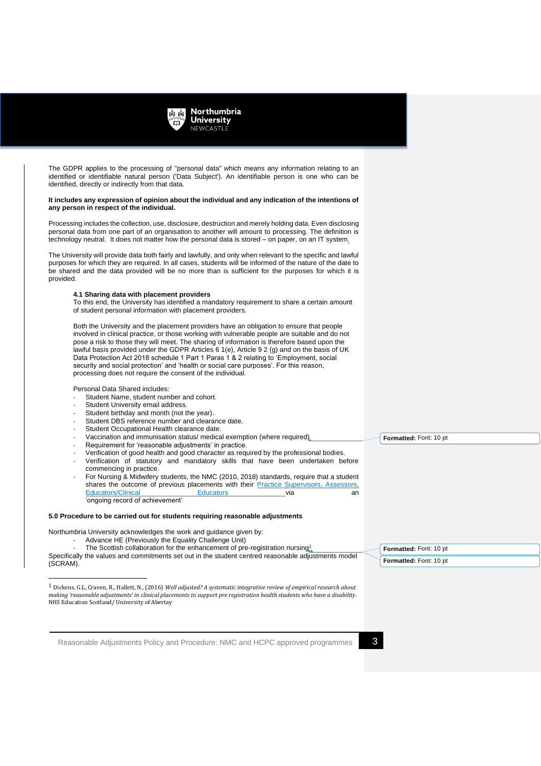

The GDPR applies to the processing of "personal data" which means any information relating to an identified or identifiable natural person ('Data Subject'). An identifiable person is one who can be identified, directly or indirectly from that data.

#### **It includes any expression of opinion about the individual and any indication of the intentions of any person in respect of the individual.**

Processing includes the collection, use, disclosure, destruction and merely holding data. Even disclosing personal data from one part of an organisation to another will amount to processing. The definition is technology neutral. It does not matter how the personal data is stored – on paper, on an IT system.

The University will provide data both fairly and lawfully, and only when relevant to the specific and lawful purposes for which they are required. In all cases, students will be informed of the nature of the date to be shared and the data provided will be no more than is sufficient for the purposes for which it is provided.

## **4.1 Sharing data with placement providers**

To this end, the University has identified a mandatory requirement to share a certain amount of student personal information with placement providers.

Both the University and the placement providers have an obligation to ensure that people involved in clinical practice, or those working with vulnerable people are suitable and do not pose a risk to those they will meet. The sharing of information is therefore based upon the lawful basis provided under the GDPR Articles 6 1(e), Article 9 2 (g) and on the basis of UK Data Protection Act 2018 schedule 1 Part 1 Paras 1 & 2 relating to 'Employment, social security and social protection' and 'health or social care purposes'. For this reason, processing does not require the consent of the individual.

Personal Data Shared includes:

- Student Name, student number and cohort.
- Student University email address.
- Student birthday and month (not the year).
- Student DBS reference number and clearance date.
- Student Occupational Health clearance date.
- Vaccination and immunisation status/ medical exemption (where required)
- Requirement for 'reasonable adjustments' in practice.
- Verification of good health and good character as required by the professional bodies.
- Verification of statutory and mandatory skills that have been undertaken before commencing in practice.
- For Nursing & Midwifery students, the NMC (2010, 2018) standards, require that a student shares the outcome of previous placements with their **Practice Supervisors**, Assessors, Educators/Clinical **Educators Educators** via an Educators/Clinical **Educators Educators** via an 'ongoing record of achievement'

#### **5.0 Procedure to be carried out for students requiring reasonable adjustments**

Northumbria University acknowledges the work and guidance given by:

- Advance HE (Previously the Equality Challenge Unit)
- The Scottish collaboration for the enhancement of pre-registration nursing<sup>1</sup>

Specifically the values and commitments set out in the student centred reasonable adjustments model (SCRAM).

**Formatted:** Font: 10 pt **Formatted:** Font: 10 pt

**Formatted:** Font: 10 pt

Reasonable Adjustments Policy and Procedure: NMC and HCPC approved programmes 3

<sup>1</sup> Dickens, G.L, Craven, R., Hallett, N., (2016) *Well adjusted? A systematic integrative review of empirical research about making 'reasonable adjustments' in clinical placements to support pre registration health students who have a disability.*  NHS Education Scotland/ University of Abertay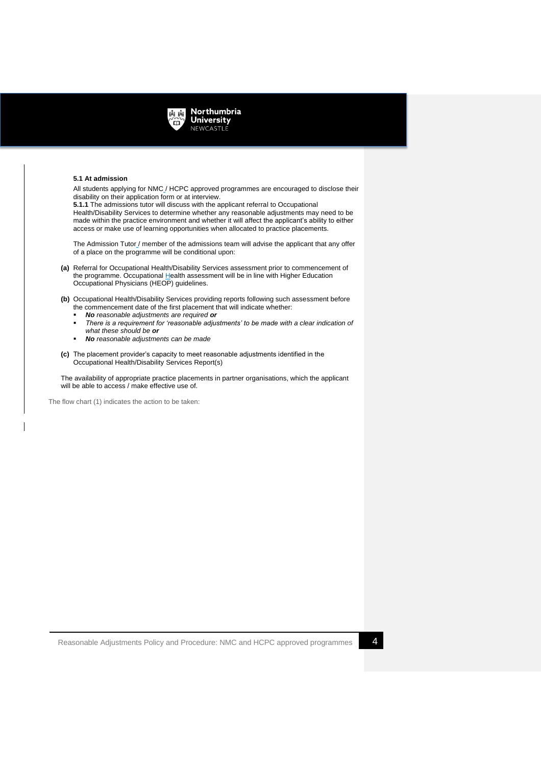

## **5.1 At admission**

All students applying for NMC / HCPC approved programmes are encouraged to disclose their disability on their application form or at interview.

**5.1.1** The admissions tutor will discuss with the applicant referral to Occupational Health/Disability Services to determine whether any reasonable adjustments may need to be made within the practice environment and whether it will affect the applicant's ability to either access or make use of learning opportunities when allocated to practice placements.

The Admission Tutor / member of the admissions team will advise the applicant that any offer of a place on the programme will be conditional upon:

- **(a)** Referral for Occupational Health/Disability Services assessment prior to commencement of the programme. Occupational Health assessment will be in line with Higher Education Occupational Physicians (HEOP) guidelines.
- **(b)** Occupational Health/Disability Services providing reports following such assessment before the commencement date of the first placement that will indicate whether:
	- *No reasonable adjustments are required or*
	- There is a requirement for 'reasonable adjustments' to be made with a clear indication of *what these should be or*
	- *No reasonable adjustments can be made*
- **(c)** The placement provider's capacity to meet reasonable adjustments identified in the Occupational Health/Disability Services Report(s)

The availability of appropriate practice placements in partner organisations, which the applicant will be able to access / make effective use of.

The flow chart (1) indicates the action to be taken: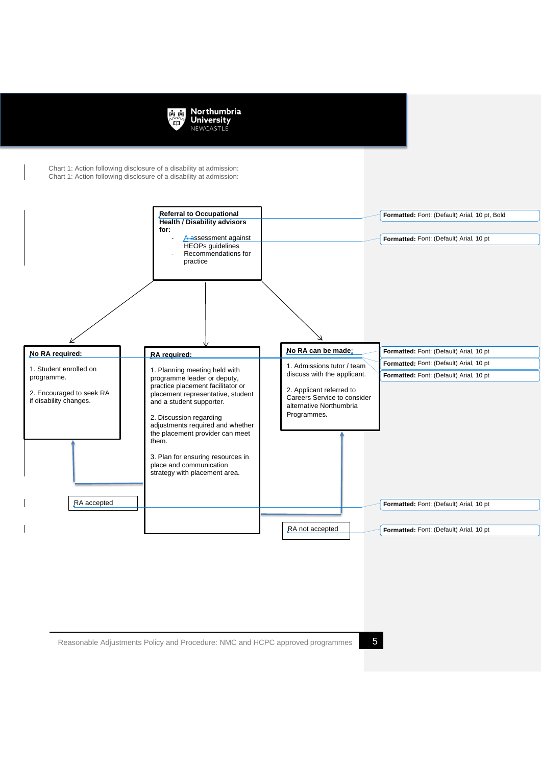

Chart 1: Action following disclosure of a disability at admission: Chart 1: Action following disclosure of a disability at admission:

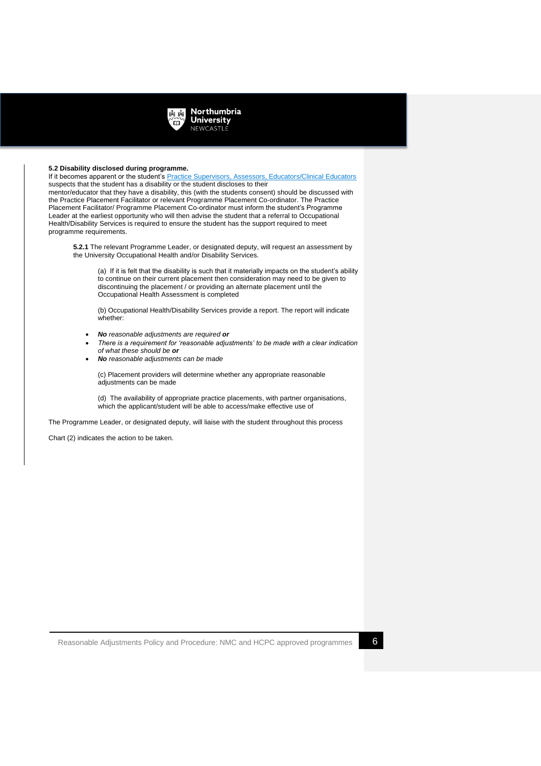

## **5.2 Disability disclosed during programme.**

If it becomes apparent or the student's Practice Supervisors, Assessors, Educators/Clinical Educators suspects that the student has a disability or the student discloses to their

mentor/educator that they have a disability, this (with the students consent) should be discussed with the Practice Placement Facilitator or relevant Programme Placement Co-ordinator. The Practice Placement Facilitator/ Programme Placement Co-ordinator must inform the student's Programme Leader at the earliest opportunity who will then advise the student that a referral to Occupational Health/Disability Services is required to ensure the student has the support required to meet programme requirements.

**5.2.1** The relevant Programme Leader, or designated deputy, will request an assessment by the University Occupational Health and/or Disability Services.

(a) If it is felt that the disability is such that it materially impacts on the student's ability to continue on their current placement then consideration may need to be given to discontinuing the placement / or providing an alternate placement until the Occupational Health Assessment is completed

(b) Occupational Health/Disability Services provide a report. The report will indicate whether:

- *No reasonable adjustments are required or*
- *There is a requirement for 'reasonable adjustments' to be made with a clear indication of what these should be or*
- *No reasonable adjustments can be made*

(c) Placement providers will determine whether any appropriate reasonable adjustments can be made

(d) The availability of appropriate practice placements, with partner organisations, which the applicant/student will be able to access/make effective use of

The Programme Leader, or designated deputy, will liaise with the student throughout this process

Chart (2) indicates the action to be taken.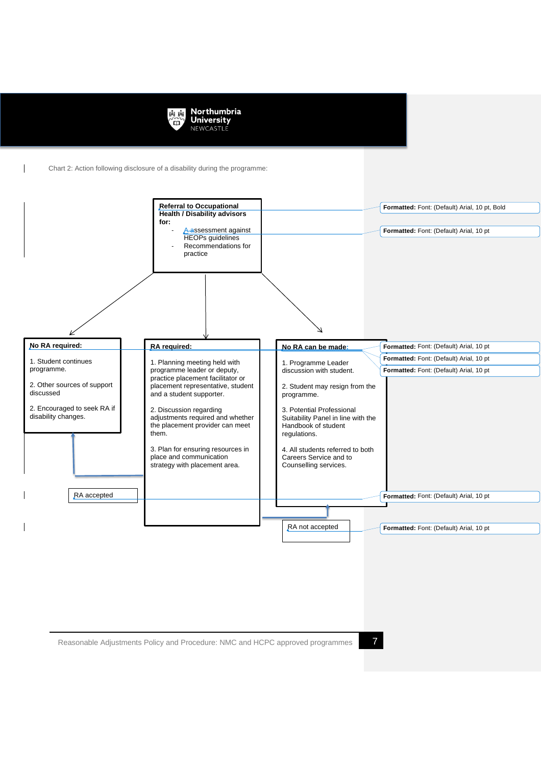

Chart 2: Action following disclosure of a disability during the programme: